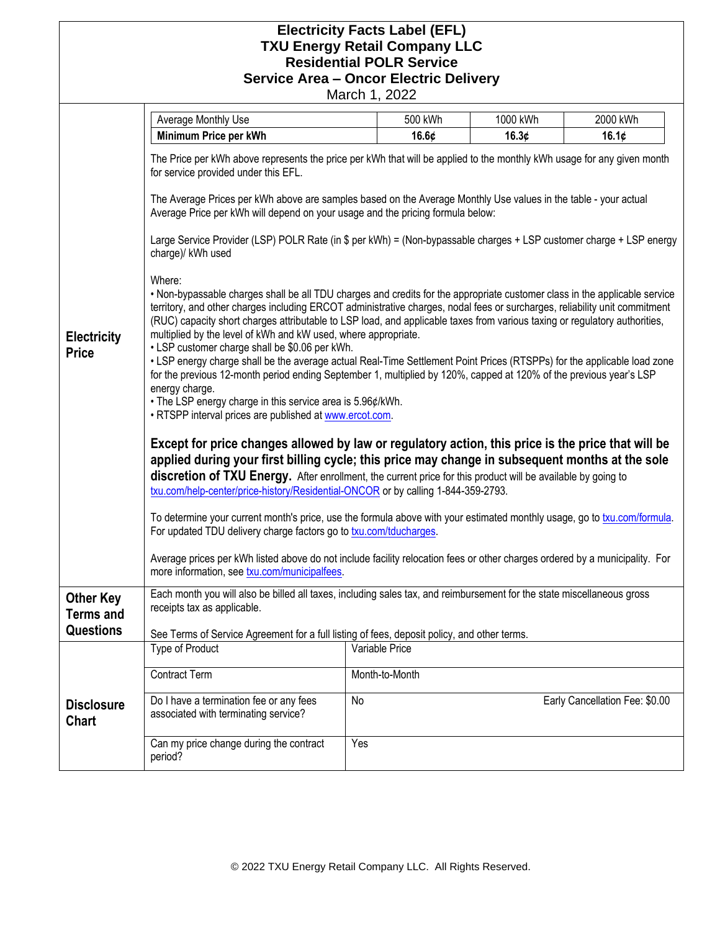## **Electricity Facts Label (EFL) TXU Energy Retail Company LLC Residential POLR Service Service Area – Oncor Electric Delivery**

March 1, 2022

|                                                          | Average Monthly Use                                                                                                                                                                                                                                                                                                                                                                                                                                                                                                                                                                                                                                                                                                                                                                                                                                                                                                                                                                                                                                                                                                                                                                                                                                                                                                                                                                                                                                                                                                                                                                                                                                                                                                                                                                                                                                                                                                                                                                                                                                                                                                                                                                                                                       | 500 kWh        | 1000 kWh | 2000 kWh                       |
|----------------------------------------------------------|-------------------------------------------------------------------------------------------------------------------------------------------------------------------------------------------------------------------------------------------------------------------------------------------------------------------------------------------------------------------------------------------------------------------------------------------------------------------------------------------------------------------------------------------------------------------------------------------------------------------------------------------------------------------------------------------------------------------------------------------------------------------------------------------------------------------------------------------------------------------------------------------------------------------------------------------------------------------------------------------------------------------------------------------------------------------------------------------------------------------------------------------------------------------------------------------------------------------------------------------------------------------------------------------------------------------------------------------------------------------------------------------------------------------------------------------------------------------------------------------------------------------------------------------------------------------------------------------------------------------------------------------------------------------------------------------------------------------------------------------------------------------------------------------------------------------------------------------------------------------------------------------------------------------------------------------------------------------------------------------------------------------------------------------------------------------------------------------------------------------------------------------------------------------------------------------------------------------------------------------|----------------|----------|--------------------------------|
|                                                          | Minimum Price per kWh                                                                                                                                                                                                                                                                                                                                                                                                                                                                                                                                                                                                                                                                                                                                                                                                                                                                                                                                                                                                                                                                                                                                                                                                                                                                                                                                                                                                                                                                                                                                                                                                                                                                                                                                                                                                                                                                                                                                                                                                                                                                                                                                                                                                                     | 16.6¢          | 16.3¢    | 16.1¢                          |
| <b>Electricity</b><br><b>Price</b>                       | The Price per kWh above represents the price per kWh that will be applied to the monthly kWh usage for any given month<br>for service provided under this EFL.<br>The Average Prices per kWh above are samples based on the Average Monthly Use values in the table - your actual<br>Average Price per kWh will depend on your usage and the pricing formula below:<br>Large Service Provider (LSP) POLR Rate (in \$ per kWh) = (Non-bypassable charges + LSP customer charge + LSP energy<br>charge)/ kWh used<br>Where:<br>. Non-bypassable charges shall be all TDU charges and credits for the appropriate customer class in the applicable service<br>territory, and other charges including ERCOT administrative charges, nodal fees or surcharges, reliability unit commitment<br>(RUC) capacity short charges attributable to LSP load, and applicable taxes from various taxing or regulatory authorities,<br>multiplied by the level of kWh and kW used, where appropriate.<br>• LSP customer charge shall be \$0.06 per kWh.<br>• LSP energy charge shall be the average actual Real-Time Settlement Point Prices (RTSPPs) for the applicable load zone<br>for the previous 12-month period ending September 1, multiplied by 120%, capped at 120% of the previous year's LSP<br>energy charge.<br>• The LSP energy charge in this service area is 5.96¢/kWh.<br>. RTSPP interval prices are published at www.ercot.com.<br>Except for price changes allowed by law or regulatory action, this price is the price that will be<br>applied during your first billing cycle; this price may change in subsequent months at the sole<br>discretion of TXU Energy. After enrollment, the current price for this product will be available by going to<br>txu.com/help-center/price-history/Residential-ONCOR or by calling 1-844-359-2793.<br>To determine your current month's price, use the formula above with your estimated monthly usage, go to txu.com/formula.<br>For updated TDU delivery charge factors go to <b>txu.com/tducharges</b> .<br>Average prices per kWh listed above do not include facility relocation fees or other charges ordered by a municipality. For<br>more information, see txu.com/municipalfees. |                |          |                                |
| <b>Other Key</b><br><b>Terms and</b><br><b>Questions</b> | Each month you will also be billed all taxes, including sales tax, and reimbursement for the state miscellaneous gross<br>receipts tax as applicable.<br>See Terms of Service Agreement for a full listing of fees, deposit policy, and other terms.                                                                                                                                                                                                                                                                                                                                                                                                                                                                                                                                                                                                                                                                                                                                                                                                                                                                                                                                                                                                                                                                                                                                                                                                                                                                                                                                                                                                                                                                                                                                                                                                                                                                                                                                                                                                                                                                                                                                                                                      |                |          |                                |
|                                                          | <b>Type of Product</b>                                                                                                                                                                                                                                                                                                                                                                                                                                                                                                                                                                                                                                                                                                                                                                                                                                                                                                                                                                                                                                                                                                                                                                                                                                                                                                                                                                                                                                                                                                                                                                                                                                                                                                                                                                                                                                                                                                                                                                                                                                                                                                                                                                                                                    | Variable Price |          |                                |
|                                                          | <b>Contract Term</b>                                                                                                                                                                                                                                                                                                                                                                                                                                                                                                                                                                                                                                                                                                                                                                                                                                                                                                                                                                                                                                                                                                                                                                                                                                                                                                                                                                                                                                                                                                                                                                                                                                                                                                                                                                                                                                                                                                                                                                                                                                                                                                                                                                                                                      | Month-to-Month |          |                                |
| <b>Disclosure</b><br><b>Chart</b>                        | Do I have a termination fee or any fees<br>associated with terminating service?                                                                                                                                                                                                                                                                                                                                                                                                                                                                                                                                                                                                                                                                                                                                                                                                                                                                                                                                                                                                                                                                                                                                                                                                                                                                                                                                                                                                                                                                                                                                                                                                                                                                                                                                                                                                                                                                                                                                                                                                                                                                                                                                                           | No             |          | Early Cancellation Fee: \$0.00 |
|                                                          | Can my price change during the contract<br>period?                                                                                                                                                                                                                                                                                                                                                                                                                                                                                                                                                                                                                                                                                                                                                                                                                                                                                                                                                                                                                                                                                                                                                                                                                                                                                                                                                                                                                                                                                                                                                                                                                                                                                                                                                                                                                                                                                                                                                                                                                                                                                                                                                                                        | Yes            |          |                                |